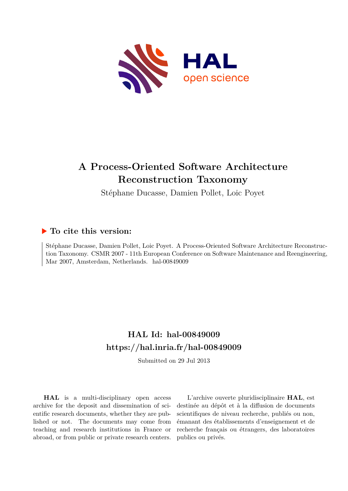

# **A Process-Oriented Software Architecture Reconstruction Taxonomy**

Stéphane Ducasse, Damien Pollet, Loic Poyet

## **To cite this version:**

Stéphane Ducasse, Damien Pollet, Loic Poyet. A Process-Oriented Software Architecture Reconstruction Taxonomy. CSMR 2007 - 11th European Conference on Software Maintenance and Reengineering, Mar 2007, Amsterdam, Netherlands. hal-00849009

# **HAL Id: hal-00849009 <https://hal.inria.fr/hal-00849009>**

Submitted on 29 Jul 2013

**HAL** is a multi-disciplinary open access archive for the deposit and dissemination of scientific research documents, whether they are published or not. The documents may come from teaching and research institutions in France or abroad, or from public or private research centers.

L'archive ouverte pluridisciplinaire **HAL**, est destinée au dépôt et à la diffusion de documents scientifiques de niveau recherche, publiés ou non, émanant des établissements d'enseignement et de recherche français ou étrangers, des laboratoires publics ou privés.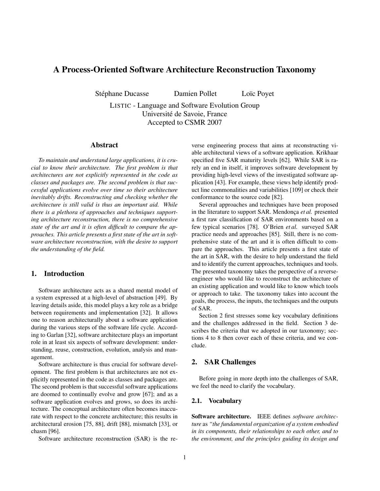## A Process-Oriented Software Architecture Reconstruction Taxonomy

Stéphane Ducasse Damien Pollet Loïc Poyet

LISTIC - Language and Software Evolution Group Universite de Savoie, France ´ Accepted to CSMR 2007

#### Abstract

*To maintain and understand large applications, it is crucial to know their architecture. The first problem is that architectures are not explicitly represented in the code as classes and packages are. The second problem is that successful applications evolve over time so their architecture inevitably drifts. Reconstructing and checking whether the architecture is still valid is thus an important aid. While there is a plethora of approaches and techniques supporting architecture reconstruction, there is no comprehensive state of the art and it is often difficult to compare the approaches. This article presents a first state of the art in software architecture reconstruction, with the desire to support the understanding of the field.*

## 1. Introduction

Software architecture acts as a shared mental model of a system expressed at a high-level of abstraction [\[49\]](#page-11-0). By leaving details aside, this model plays a key role as a bridge between requirements and implementation [\[32\]](#page-11-1). It allows one to reason architecturally about a software application during the various steps of the software life cycle. According to Garlan [\[32\]](#page-11-1), software architecture plays an important role in at least six aspects of software development: understanding, reuse, construction, evolution, analysis and management.

Software architecture is thus crucial for software development. The first problem is that architectures are not explicitly represented in the code as classes and packages are. The second problem is that successful software applications are doomed to continually evolve and grow [\[67\]](#page-12-0); and as a software application evolves and grows, so does its architecture. The conceptual architecture often becomes inaccurate with respect to the concrete architecture; this results in architectural erosion [\[75,](#page-12-1) [88\]](#page-12-2), drift [\[88\]](#page-12-2), mismatch [\[33\]](#page-11-2), or chasm [\[96\]](#page-12-3).

Software architecture reconstruction (SAR) is the re-

verse engineering process that aims at reconstructing viable architectural views of a software application. Krikhaar specified five SAR maturity levels [\[62\]](#page-11-3). While SAR is rarely an end in itself, it improves software development by providing high-level views of the investigated software application [\[43\]](#page-11-4). For example, these views help identify product line commonalities and variabilities [\[109\]](#page-13-0) or check their conformance to the source code [\[82\]](#page-12-4).

Several approaches and techniques have been proposed in the literature to support SAR. Mendonça et al. presented a first raw classification of SAR environments based on a few typical scenarios [\[78\]](#page-12-5). O'Brien *et al.* surveyed SAR practice needs and approaches [\[85\]](#page-12-6). Still, there is no comprehensive state of the art and it is often difficult to compare the approaches. This article presents a first state of the art in SAR, with the desire to help understand the field and to identify the current approaches, techniques and tools. The presented taxonomy takes the perspective of a reverseengineer who would like to reconstruct the architecture of an existing application and would like to know which tools or approach to take. The taxonomy takes into account the goals, the process, the inputs, the techniques and the outputs of SAR.

Section [2](#page-1-0) first stresses some key vocabulary definitions and the challenges addressed in the field. Section [3](#page-2-0) describes the criteria that we adopted in our taxonomy; sections [4](#page-3-0) to [8](#page-9-0) then cover each of these criteria, and we conclude.

## <span id="page-1-0"></span>2. SAR Challenges

Before going in more depth into the challenges of SAR, we feel the need to clarify the vocabulary.

#### 2.1. Vocabulary

Software architecture. IEEE defines *software architecture* as *"the fundamental organization of a system embodied in its components, their relationships to each other, and to the environment, and the principles guiding its design and*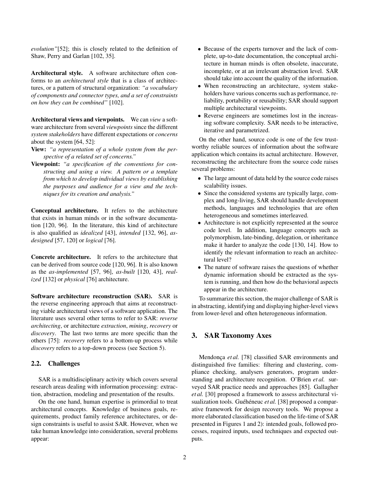*evolution"*[\[52\]](#page-11-5); this is closely related to the definition of Shaw, Perry and Garlan [\[102,](#page-12-7) [35\]](#page-11-6).

Architectural style. A software architecture often conforms to an *architectural style* that is a class of architectures, or a pattern of structural organization: *"a vocabulary of components and connector types, and a set of constraints on how they can be combined"* [\[102\]](#page-12-7).

Architectural views and viewpoints. We can *view* a software architecture from several *viewpoints* since the different *system stakeholders* have different expectations or *concerns* about the system [\[64,](#page-12-8) [52\]](#page-11-5):

- View: *"a representation of a whole system from the perspective of a related set of concerns."*
- Viewpoint: *"a specification of the conventions for constructing and using a view. A pattern or a template from which to develop individual views by establishing the purposes and audience for a view and the techniques for its creation and analysis."*

Conceptual architecture. It refers to the architecture that exists in human minds or in the software documentation [\[120,](#page-13-1) [96\]](#page-12-3). In the literature, this kind of architecture is also qualified as *idealized* [\[43\]](#page-11-4), *intended* [\[132,](#page-13-2) [96\]](#page-12-3), *asdesigned* [\[57,](#page-11-7) [120\]](#page-13-1) or *logical* [\[76\]](#page-12-9).

Concrete architecture. It refers to the architecture that can be derived from source code [\[120,](#page-13-1) [96\]](#page-12-3). It is also known as the *as-implemented* [\[57,](#page-11-7) [96\]](#page-12-3), *as-built* [\[120,](#page-13-1) [43\]](#page-11-4), *realized* [\[132\]](#page-13-2) or *physical* [\[76\]](#page-12-9) architecture.

Software architecture reconstruction (SAR). SAR is the reverse engineering approach that aims at reconstructing viable architectural views of a software application. The literature uses several other terms to refer to SAR: *reverse architecting*, or architecture *extraction*, *mining*, *recovery* or *discovery*. The last two terms are more specific than the others [\[75\]](#page-12-1): *recovery* refers to a bottom-up process while *discovery* refers to a top-down process (see Section [5\)](#page-4-0).

#### 2.2. Challenges

SAR is a multidisciplinary activity which covers several research areas dealing with information processing: extraction, abstraction, modeling and presentation of the results.

On the one hand, human expertise is primordial to treat architectural concepts. Knowledge of business goals, requirements, product family reference architectures, or design constraints is useful to assist SAR. However, when we take human knowledge into consideration, several problems appear:

- Because of the experts turnover and the lack of complete, up-to-date documentation, the conceptual architecture in human minds is often obsolete, inaccurate, incomplete, or at an irrelevant abstraction level. SAR should take into account the quality of the information.
- When reconstructing an architecture, system stakeholders have various concerns such as performance, reliability, portability or reusability; SAR should support multiple architectural viewpoints.
- Reverse engineers are sometimes lost in the increasing software complexity. SAR needs to be interactive, iterative and parametrized.

On the other hand, source code is one of the few trustworthy reliable sources of information about the software application which contains its actual architecture. However, reconstructing the architecture from the source code raises several problems:

- The large amount of data held by the source code raises scalability issues.
- Since the considered systems are typically large, complex and long-living, SAR should handle development methods, languages and technologies that are often heterogeneous and sometimes interleaved.
- Architecture is not explicitly represented at the source code level. In addition, language concepts such as polymorphism, late-binding, delegation, or inheritance make it harder to analyze the code [\[130,](#page-13-3) [14\]](#page-10-0). How to identify the relevant information to reach an architectural level?
- The nature of software raises the questions of whether dynamic information should be extracted as the system is running, and then how do the behavioral aspects appear in the architecture.

To summarize this section, the major challenge of SAR is in abstracting, identifying and displaying higher-level views from lower-level and often heterogeneous information.

## <span id="page-2-0"></span>3. SAR Taxonomy Axes

Mendonça et al. [\[78\]](#page-12-5) classified SAR environments and distinguished five families: filtering and clustering, compliance checking, analysers generators, program understanding and architecture recognition. O'Brien *et al.* surveyed SAR practice needs and approaches [\[85\]](#page-12-6). Gallagher *et al.* [\[30\]](#page-11-8) proposed a framework to assess architectural vi-sualization tools. Guéhéneuc et al. [\[38\]](#page-11-9) proposed a comparative framework for design recovery tools. We propose a more elaborated classification based on the life-time of SAR presented in Figures [1](#page-3-1) and [2\)](#page-3-2): intended goals, followed processes, required inputs, used techniques and expected outputs.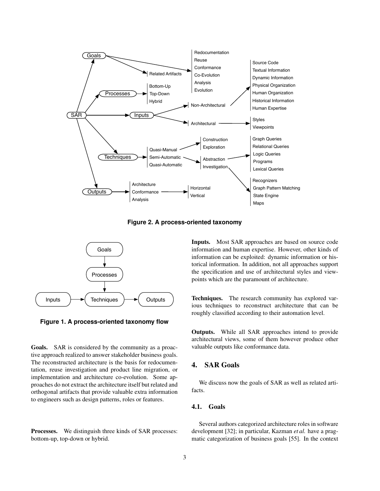

<span id="page-3-2"></span>**Figure 2. A process-oriented taxonomy**



<span id="page-3-1"></span>**Figure 1. A process-oriented taxonomy flow**

Goals. SAR is considered by the community as a proactive approach realized to answer stakeholder business goals. The reconstructed architecture is the basis for redocumentation, reuse investigation and product line migration, or implementation and architecture co-evolution. Some approaches do not extract the architecture itself but related and orthogonal artifacts that provide valuable extra information to engineers such as design patterns, roles or features.

Processes. We distinguish three kinds of SAR processes: bottom-up, top-down or hybrid.

Inputs. Most SAR approaches are based on source code information and human expertise. However, other kinds of information can be exploited: dynamic information or historical information. In addition, not all approaches support the specification and use of architectural styles and viewpoints which are the paramount of architecture.

Techniques. The research community has explored various techniques to reconstruct architecture that can be roughly classified according to their automation level.

Outputs. While all SAR approaches intend to provide architectural views, some of them however produce other valuable outputs like conformance data.

## <span id="page-3-0"></span>4. SAR Goals

We discuss now the goals of SAR as well as related artifacts.

## 4.1. Goals

Several authors categorized architecture roles in software development [\[32\]](#page-11-1); in particular, Kazman *et al.* have a pragmatic categorization of business goals [\[55\]](#page-11-10). In the context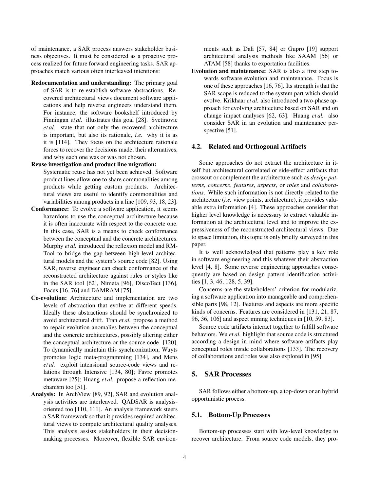of maintenance, a SAR process answers stakeholder business objectives. It must be considered as a proactive process realized for future forward engineering tasks. SAR approaches match various often interleaved intentions:

Redocumentation and understanding: The primary goal of SAR is to re-establish software abstractions. Recovered architectural views document software applications and help reverse engineers understand them. For instance, the software bookshelf introduced by Finningan *et al.* illustrates this goal [\[28\]](#page-11-11). Svetinovic *et al.* state that not only the recovered architecture is important, but also its rationale, *i.e.* why it is as it is [\[114\]](#page-13-4). They focus on the architecture rationale forces to recover the decisions made, their alternatives, and why each one was or was not chosen.

#### Reuse investigation and product line migration:

Systematic reuse has not yet been achieved. Software product lines allow one to share commonalities among products while getting custom products. Architectural views are useful to identify commonalities and variabilities among products in a line [\[109,](#page-13-0) [93,](#page-12-10) [18,](#page-11-12) [23\]](#page-11-13).

- Conformance: To evolve a software application, it seems hazardous to use the conceptual architecture because it is often inaccurate with respect to the concrete one. In this case, SAR is a means to check conformance between the conceptual and the concrete architectures. Murphy *et al.* introduced the reflexion model and RM-Tool to bridge the gap between high-level architectural models and the system's source code [\[82\]](#page-12-4). Using SAR, reverse engineer can check conformance of the reconstructed architecture against rules or styles like in the SAR tool [\[62\]](#page-11-3), Nimeta [\[96\]](#page-12-3), DiscoTect [\[136\]](#page-13-5), Focus [\[16,](#page-10-1) [76\]](#page-12-9) and DAMRAM [\[75\]](#page-12-1).
- Co-evolution: Architecture and implementation are two levels of abstraction that evolve at different speeds. Ideally these abstractions should be synchronized to avoid architectural drift. Tran *et al.* propose a method to repair evolution anomalies between the conceptual and the concrete architectures, possibly altering either the conceptual architecture or the source code [\[120\]](#page-13-1). To dynamically maintain this synchronization, Wuyts promotes logic meta-programming [\[134\]](#page-13-6), and Mens *et al.* exploit intensional source-code views and relations through Intensive [\[134,](#page-13-6) [80\]](#page-12-11); Favre promotes metaware [\[25\]](#page-11-14); Huang *et al.* propose a reflection mechanism too [\[51\]](#page-11-15).
- Analysis: In ArchView [\[89,](#page-12-12) [92\]](#page-12-13), SAR and evolution analysis activities are interleaved. QADSAR is analysisoriented too [\[110,](#page-13-7) [111\]](#page-13-8). An analysis framework steers a SAR framework so that it provides required architectural views to compute architectural quality analyses. This analysis assists stakeholders in their decisionmaking processes. Moreover, flexible SAR environ-

ments such as Dali [\[57,](#page-11-7) [84\]](#page-12-14) or Gupro [\[19\]](#page-11-16) support architectural analysis methods like SAAM [\[56\]](#page-11-17) or ATAM [\[58\]](#page-11-18) thanks to exportation facilities.

Evolution and maintenance: SAR is also a first step towards software evolution and maintenance. Focus is one of these approaches [\[16,](#page-10-1) [76\]](#page-12-9). Its strength is that the SAR scope is reduced to the system part which should evolve. Krikhaar *et al.* also introduced a two-phase approach for evolving architecture based on SAR and on change impact analyses [\[62,](#page-11-3) [63\]](#page-12-15). Huang *et al.* also consider SAR in an evolution and maintenance perspective [\[51\]](#page-11-15).

#### <span id="page-4-1"></span>4.2. Related and Orthogonal Artifacts

Some approaches do not extract the architecture in itself but architectural correlated or side-effect artifacts that crosscut or complement the architecture such as *design patterns*, *concerns*, *features*, *aspects*, or *roles* and *collaborations*. While such information is not directly related to the architecture (*i.e.* view points, architecture), it provides valuable extra information [\[4\]](#page-10-2). These approaches consider that higher level knowledge is necessary to extract valuable information at the architectural level and to improve the expressiveness of the reconstructed architectural views. Due to space limitation, this topic is only briefly surveyed in this paper.

It is well acknowledged that patterns play a key role in software engineering and this whatever their abstraction level [\[4,](#page-10-2) [8\]](#page-10-3). Some reverse engineering approaches consequently are based on design pattern identification activities [\[1,](#page-10-4) [3,](#page-10-5) [46,](#page-11-19) [128,](#page-13-9) [5,](#page-10-6) [39\]](#page-11-20).

Concerns are the stakeholders' criterion for modularizing a software application into manageable and comprehensible parts [\[98,](#page-12-16) [12\]](#page-10-7). Features and aspects are more specific kinds of concerns. Features are considered in [\[131,](#page-13-10) [21,](#page-11-21) [87,](#page-12-17) [96,](#page-12-3) [36,](#page-11-22) [106\]](#page-12-18) and aspect mining techniques in [\[10,](#page-10-8) [59,](#page-11-23) [83\]](#page-12-19).

Source code artifacts interact together to fulfill software behaviors. Wu *et al.* highlight that source code is structured according a design in mind where software artifacts play conceptual roles inside collaborations [\[133\]](#page-13-11). The recovery of collaborations and roles was also explored in [\[95\]](#page-12-20).

## <span id="page-4-0"></span>5. SAR Processes

SAR follows either a bottom-up, a top-down or an hybrid opportunistic process.

#### 5.1. Bottom-Up Processes

Bottom-up processes start with low-level knowledge to recover architecture. From source code models, they pro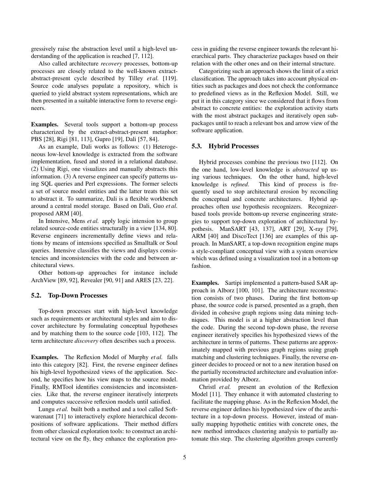gressively raise the abstraction level until a high-level understanding of the application is reached [\[7,](#page-10-9) [112\]](#page-13-12).

Also called architecture *recovery* processes, bottom-up processes are closely related to the well-known extractabstract-present cycle described by Tilley *et al.* [\[119\]](#page-13-13). Source code analyses populate a repository, which is queried to yield abstract system representations, which are then presented in a suitable interactive form to reverse engineers.

Examples. Several tools support a bottom-up process characterized by the extract-abstract-present metaphor: PBS [\[28\]](#page-11-11), Rigi [\[81,](#page-12-21) [113\]](#page-13-14), Gupro [\[19\]](#page-11-16), Dali [\[57,](#page-11-7) [84\]](#page-12-14).

As an example, Dali works as follows: (1) Heterogeneous low-level knowledge is extracted from the software implementation, fused and stored in a relational database. (2) Using Rigi, one visualizes and manually abstracts this information. (3) A reverse engineer can specify patterns using SQL queries and Perl expressions. The former selects a set of source model entities and the latter treats this set to abstract it. To summarize, Dali is a flexible workbench around a central model storage. Based on Dali, Guo *et al.* proposed ARM [\[40\]](#page-11-24).

In Intensive, Mens *et al.* apply logic intension to group related source-code entities structurally in a view [\[134,](#page-13-6) [80\]](#page-12-11). Reverse engineers incrementally define views and relations by means of intensions specified as Smalltalk or Soul queries. Intensive classifies the views and displays consistencies and inconsistencies with the code and between architectural views.

Other bottom-up approaches for instance include ArchView [\[89,](#page-12-12) [92\]](#page-12-13), Revealer [\[90,](#page-12-22) [91\]](#page-12-23) and ARES [\[23,](#page-11-13) [22\]](#page-11-25).

#### 5.2. Top-Down Processes

Top-down processes start with high-level knowledge such as requirements or architectural styles and aim to discover architecture by formulating conceptual hypotheses and by matching them to the source code [\[103,](#page-12-24) [112\]](#page-13-12). The term architecture *discovery* often describes such a process.

Examples. The Reflexion Model of Murphy *et al.* falls into this category [\[82\]](#page-12-4). First, the reverse engineer defines his high-level hypothesized views of the application. Second, he specifies how his view maps to the source model. Finally, RMTool identifies consistencies and inconsistencies. Like that, the reverse engineer iteratively interprets and computes successive reflexion models until satisfied.

Lungu *et al.* built both a method and a tool called Softwarenaut [\[71\]](#page-12-25) to interactively explore hierarchical decompositions of software applications. Their method differs from other classical exploration tools: to construct an architectural view on the fly, they enhance the exploration process in guiding the reverse engineer towards the relevant hierarchical parts. They characterize packages based on their relation with the other ones and on their internal structure.

Categorizing such an approach shows the limit of a strict classification. The approach takes into account physical entities such as packages and does not check the conformance to predefined views as in the Reflexion Model. Still, we put it in this category since we considered that it flows from abstract to concrete entities: the exploration activity starts with the most abstract packages and iteratively open subpackages until to reach a relevant box and arrow view of the software application.

#### 5.3. Hybrid Processes

Hybrid processes combine the previous two [\[112\]](#page-13-12). On the one hand, low-level knowledge is *abstracted* up using various techniques. On the other hand, high-level knowledge is *refined*. This kind of process is frequently used to stop architectural erosion by reconciling the conceptual and concrete architectures. Hybrid approaches often use hypothesis recognizers. Recognizerbased tools provide bottom-up reverse engineering strategies to support top-down exploration of architectural hypothesis. ManSART [\[43,](#page-11-4) [137\]](#page-13-15), ART [\[29\]](#page-11-26), X-ray [\[79\]](#page-12-26), ARM [\[40\]](#page-11-24) and DiscoTect [\[136\]](#page-13-5) are examples of this approach. In ManSART, a top-down recognition engine maps a style-compliant conceptual view with a system overview which was defined using a visualization tool in a bottom-up fashion.

Examples. Sartipi implemented a pattern-based SAR approach in Alborz [\[100,](#page-12-27) [101\]](#page-12-28). The architecture reconstruction consists of two phases. During the first bottom-up phase, the source code is parsed, presented as a graph, then divided in cohesive graph regions using data mining techniques. This model is at a higher abstraction level than the code. During the second top-down phase, the reverse engineer iteratively specifies his hypothesized views of the architecture in terms of patterns. These patterns are approximately mapped with previous graph regions using graph matching and clustering techniques. Finally, the reverse engineer decides to proceed or not to a new iteration based on the partially reconstructed architecture and evaluation information provided by Alborz.

Christl *et al.* present an evolution of the Reflexion Model [\[11\]](#page-10-10). They enhance it with automated clustering to facilitate the mapping phase. As in the Reflexion Model, the reverse engineer defines his hypothesized view of the architecture in a top-down process. However, instead of manually mapping hypothetic entities with concrete ones, the new method introduces clustering analysis to partially automate this step. The clustering algorithm groups currently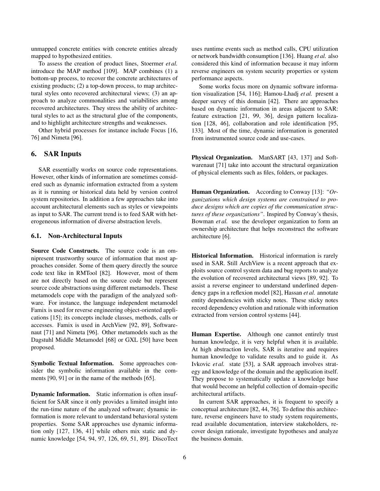unmapped concrete entities with concrete entities already mapped to hypothesized entities.

To assess the creation of product lines, Stoermer *et al.* introduce the MAP method [\[109\]](#page-13-0). MAP combines (1) a bottom-up process, to recover the concrete architectures of existing products; (2) a top-down process, to map architectural styles onto recovered architectural views; (3) an approach to analyze commonalities and variabilities among recovered architectures. They stress the ability of architectural styles to act as the structural glue of the components, and to highlight architecture strengths and weaknesses.

Other hybrid processes for instance include Focus [\[16,](#page-10-1) [76\]](#page-12-9) and Nimeta [\[96\]](#page-12-3).

## <span id="page-6-0"></span>6. SAR Inputs

SAR essentially works on source code representations. However, other kinds of information are sometimes considered such as dynamic information extracted from a system as it is running or historical data held by version control system repositories. In addition a few approaches take into account architectural elements such as styles or viewpoints as input to SAR. The current trend is to feed SAR with heterogeneous information of diverse abstraction levels.

#### 6.1. Non-Architectural Inputs

Source Code Constructs. The source code is an omnipresent trustworthy source of information that most approaches consider. Some of them query directly the source code text like in RMTool [\[82\]](#page-12-4). However, most of them are not directly based on the source code but represent source code abstractions using different metamodels. These metamodels cope with the paradigm of the analyzed software. For instance, the language independent metamodel Famix is used for reverse engineering object-oriented applications [\[15\]](#page-10-11); its concepts include classes, methods, calls or accesses. Famix is used in ArchView [\[92,](#page-12-13) [89\]](#page-12-12), Softwarenaut [\[71\]](#page-12-25) and Nimeta [\[96\]](#page-12-3). Other metamodels such as the Dagstuhl Middle Metamodel [\[68\]](#page-12-29) or GXL [\[50\]](#page-11-27) have been proposed.

Symbolic Textual Information. Some approaches consider the symbolic information available in the comments [\[90,](#page-12-22) [91\]](#page-12-23) or in the name of the methods [\[65\]](#page-12-30).

Dynamic Information. Static information is often insufficient for SAR since it only provides a limited insight into the run-time nature of the analyzed software; dynamic information is more relevant to understand behavioral system properties. Some SAR approaches use dynamic information only [\[127,](#page-13-16) [136,](#page-13-5) [41\]](#page-11-28) while others mix static and dynamic knowledge [\[54,](#page-11-29) [94,](#page-12-31) [97,](#page-12-32) [126,](#page-13-17) [69,](#page-12-33) [51,](#page-11-15) [89\]](#page-12-12). DiscoTect uses runtime events such as method calls, CPU utilization or network bandwidth consumption [\[136\]](#page-13-5). Huang *et al.* also considered this kind of information because it may inform reverse engineers on system security properties or system performance aspects.

Some works focus more on dynamic software information visualization [\[54,](#page-11-29) [116\]](#page-13-18); Hamou-Lhadj *et al.* present a deeper survey of this domain [\[42\]](#page-11-30). There are approaches based on dynamic information in areas adjacent to SAR: feature extraction [\[21,](#page-11-21) [99,](#page-12-34) [36\]](#page-11-22), design pattern localization [\[128,](#page-13-9) [46\]](#page-11-19), collaboration and role identification [\[95,](#page-12-20) [133\]](#page-13-11). Most of the time, dynamic information is generated from instrumented source code and use-cases.

Physical Organization. ManSART [\[43,](#page-11-4) [137\]](#page-13-15) and Softwarenaut [\[71\]](#page-12-25) take into account the structural organization of physical elements such as files, folders, or packages.

Human Organization. According to Conway [\[13\]](#page-10-12): *"Organizations which design systems are constrained to produce designs which are copies of the communication structures of these organizations"*. Inspired by Conway's thesis, Bowman *et al.* use the developer organization to form an ownership architecture that helps reconstruct the software architecture [\[6\]](#page-10-13).

Historical Information. Historical information is rarely used in SAR. Still ArchView is a recent approach that exploits source control system data and bug reports to analyze the evolution of recovered architectural views [\[89,](#page-12-12) [92\]](#page-12-13). To assist a reverse engineer to understand underlined dependency gaps in a reflexion model [\[82\]](#page-12-4), Hassan *et al.* annotate entity dependencies with sticky notes. These sticky notes record dependency evolution and rationale with information extracted from version control systems [\[44\]](#page-11-31).

Human Expertise. Although one cannot entirely trust human knowledge, it is very helpful when it is available. At high abstraction levels, SAR is iterative and requires human knowledge to validate results and to guide it. As Ivkovic *et al.* state [\[53\]](#page-11-32), a SAR approach involves strategy and knowledge of the domain and the application itself. They propose to systematically update a knowledge base that would become an helpful collection of domain-specific architectural artifacts.

In current SAR approaches, it is frequent to specify a conceptual architecture [\[82,](#page-12-4) [44,](#page-11-31) [76\]](#page-12-9). To define this architecture, reverse engineers have to study system requirements, read available documentation, interview stakeholders, recover design rationale, investigate hypotheses and analyze the business domain.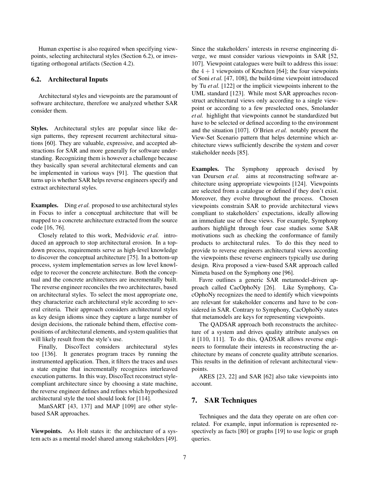Human expertise is also required when specifying viewpoints, selecting architectural styles (Section [6.2\)](#page-7-0), or investigating orthogonal artifacts (Section [4.2\)](#page-4-1).

#### <span id="page-7-0"></span>6.2. Architectural Inputs

Architectural styles and viewpoints are the paramount of software architecture, therefore we analyzed whether SAR consider them.

Styles. Architectural styles are popular since like design patterns, they represent recurrent architectural situations [\[60\]](#page-11-33). They are valuable, expressive, and accepted abstractions for SAR and more generally for software understanding. Recognizing them is however a challenge because they basically span several architectural elements and can be implemented in various ways [\[91\]](#page-12-23). The question that turns up is whether SAR helps reverse engineers specify and extract architectural styles.

Examples. Ding *et al.* proposed to use architectural styles in Focus to infer a conceptual architecture that will be mapped to a concrete architecture extracted from the source code [\[16,](#page-10-1) [76\]](#page-12-9).

Closely related to this work, Medvidovic *et al.* introduced an approach to stop architectural erosion. In a topdown process, requirements serve as high-level knowledge to discover the conceptual architecture [\[75\]](#page-12-1). In a bottom-up process, system implementation serves as low level knowledge to recover the concrete architecture. Both the conceptual and the concrete architectures are incrementally built. The reverse engineer reconciles the two architectures, based on architectural styles. To select the most appropriate one, they characterize each architectural style according to several criteria. Their approach considers architectural styles as key design idioms since they capture a large number of design decisions, the rationale behind them, effective compositions of architectural elements, and system qualities that will likely result from the style's use.

Finally, DiscoTect considers architectural styles too [\[136\]](#page-13-5). It generates program traces by running the instrumented application. Then, it filters the traces and uses a state engine that incrementally recognizes interleaved execution patterns. In this way, DiscoTect reconstruct stylecompliant architecture since by choosing a state machine, the reverse engineer defines and refines which hypothesized architectural style the tool should look for [\[114\]](#page-13-4).

ManSART [\[43,](#page-11-4) [137\]](#page-13-15) and MAP [\[109\]](#page-13-0) are other stylebased SAR approaches.

Viewpoints. As Holt states it: the architecture of a system acts as a mental model shared among stakeholders [\[49\]](#page-11-0). Since the stakeholders' interests in reverse engineering diverge, we must consider various viewpoints in SAR [\[52,](#page-11-5) [107\]](#page-13-19). Viewpoint catalogues were built to address this issue: the  $4 + 1$  viewpoints of Kruchten [\[64\]](#page-12-8); the four viewpoints of Soni *et al.* [\[47,](#page-11-34) [108\]](#page-13-20), the build-time viewpoint introduced by Tu *et al.* [\[122\]](#page-13-21) or the implicit viewpoints inherent to the UML standard [\[123\]](#page-13-22). While most SAR approaches reconstruct architectural views only according to a single viewpoint or according to a few preselected ones, Smolander *et al.* highlight that viewpoints cannot be standardized but have to be selected or defined according to the environment and the situation [\[107\]](#page-13-19). O'Brien *et al.* notably present the View-Set Scenario pattern that helps determine which architecture views sufficiently describe the system and cover stakeholder needs [\[85\]](#page-12-6).

Examples. The Symphony approach devised by van Deursen *et al.* aims at reconstructing software architecture using appropriate viewpoints [\[124\]](#page-13-23). Viewpoints are selected from a catalogue or defined if they don't exist. Moreover, they evolve throughout the process. Chosen viewpoints constrain SAR to provide architectural views compliant to stakeholders' expectations, ideally allowing an immediate use of these views. For example, Symphony authors highlight through four case studies some SAR motivations such as checking the conformance of family products to architectural rules. To do this they need to provide to reverse engineers architectural views according the viewpoints these reverse engineers typically use during design. Riva proposed a view-based SAR approach called Nimeta based on the Symphony one [\[96\]](#page-12-3).

Favre outlines a generic SAR metamodel-driven approach called CacOphoNy [\[26\]](#page-11-35). Like Symphony, CacOphoNy recognizes the need to identify which viewpoints are relevant for stakeholder concerns and have to be considered in SAR. Contrary to Symphony, CacOphoNy states that metamodels are keys for representing viewpoints.

The QADSAR approach both reconstructs the architecture of a system and drives quality attribute analyses on it [\[110,](#page-13-7) [111\]](#page-13-8). To do this, QADSAR allows reverse engineers to formulate their interests in reconstructing the architecture by means of concrete quality attribute scenarios. This results in the definition of relevant architectural viewpoints.

ARES [\[23,](#page-11-13) [22\]](#page-11-25) and SAR [\[62\]](#page-11-3) also take viewpoints into account.

## 7. SAR Techniques

Techniques and the data they operate on are often correlated. For example, input information is represented respectively as facts [\[80\]](#page-12-11) or graphs [\[19\]](#page-11-16) to use logic or graph queries.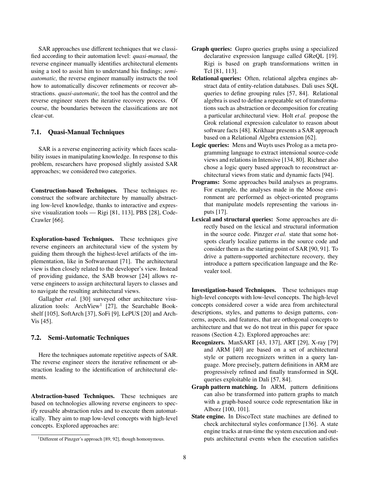SAR approaches use different techniques that we classified according to their automation level: *quasi-manual,* the reverse engineer manually identifies architectural elements using a tool to assist him to understand his findings; *semiautomatic,* the reverse engineer manually instructs the tool how to automatically discover refinements or recover abstractions. *quasi-automatic,* the tool has the control and the reverse engineer steers the iterative recovery process. Of course, the boundaries between the classifications are not clear-cut.

## 7.1. Quasi-Manual Techniques

SAR is a reverse engineering activity which faces scalability issues in manipulating knowledge. In response to this problem, researchers have proposed slightly assisted SAR approaches; we considered two categories.

Construction-based Techniques. These techniques reconstruct the software architecture by manually abstracting low-level knowledge, thanks to interactive and expressive visualization tools — Rigi [\[81,](#page-12-21) [113\]](#page-13-14), PBS [\[28\]](#page-11-11), Code-Crawler [\[66\]](#page-12-35).

Exploration-based Techniques. These techniques give reverse engineers an architectural view of the system by guiding them through the highest-level artifacts of the implementation, like in Softwarenaut [\[71\]](#page-12-25). The architectural view is then closely related to the developer's view. Instead of providing guidance, the SAB browser [\[24\]](#page-11-36) allows reverse engineers to assign architectural layers to classes and to navigate the resulting architectural views.

Gallagher *et al.* [\[30\]](#page-11-8) surveyed other architecture visu-alization tools: ArchView<sup>1</sup> [\[27\]](#page-11-37), the Searchable Bookshelf [\[105\]](#page-12-36), SoftArch [\[37\]](#page-11-38), SoFi [\[9\]](#page-10-14), LePUS [\[20\]](#page-11-39) and Arch-Vis [\[45\]](#page-11-40).

## 7.2. Semi-Automatic Techniques

Here the techniques automate repetitive aspects of SAR. The reverse engineer steers the iterative refinement or abstraction leading to the identification of architectural elements.

Abstraction-based Techniques. These techniques are based on technologies allowing reverse engineers to specify reusable abstraction rules and to execute them automatically. They aim to map low-level concepts with high-level concepts. Explored approaches are:

- Relational queries: Often, relational algebra engines abstract data of entity-relation databases. Dali uses SQL queries to define grouping rules [\[57,](#page-11-7) [84\]](#page-12-14). Relational algebra is used to define a repeatable set of transformations such as abstraction or decomposition for creating a particular architectural view. Holt *et al.* propose the Grok relational expression calculator to reason about software facts [\[48\]](#page-11-41). Krikhaar presents a SAR approach based on a Relational Algebra extension [\[62\]](#page-11-3).
- Logic queries: Mens and Wuyts uses Prolog as a meta programming language to extract intensional source-code views and relations in Intensive [\[134,](#page-13-6) [80\]](#page-12-11). Richner also chose a logic query based approach to reconstruct architectural views from static and dynamic facts [\[94\]](#page-12-31).
- Programs: Some approaches build analyses as programs. For example, the analyses made in the Moose environment are performed as object-oriented programs that manipulate models representing the various inputs [\[17\]](#page-11-42).
- Lexical and structural queries: Some approaches are directly based on the lexical and structural information in the source code. Pinzger *et al.* state that some hotspots clearly localize patterns in the source code and consider them as the starting point of SAR [\[90,](#page-12-22) [91\]](#page-12-23). To drive a pattern-supported architecture recovery, they introduce a pattern specification language and the Revealer tool.

Investigation-based Techniques. These techniques map high-level concepts with low-level concepts. The high-level concepts considered cover a wide area from architectural descriptions, styles, and patterns to design patterns, concerns, aspects, and features, that are orthogonal concepts to architecture and that we do not treat in this paper for space reasons (Section [4.2\)](#page-4-1). Explored approaches are:

- Recognizers. ManSART [\[43,](#page-11-4) [137\]](#page-13-15), ART [\[29\]](#page-11-26), X-ray [\[79\]](#page-12-26) and ARM [\[40\]](#page-11-24) are based on a set of architectural style or pattern recognizers written in a query language. More precisely, pattern definitions in ARM are progressively refined and finally transformed in SQL queries exploitable in Dali [\[57,](#page-11-7) [84\]](#page-12-14).
- Graph pattern matching. In ARM, pattern definitions can also be transformed into pattern graphs to match with a graph-based source code representation like in Alborz [\[100,](#page-12-27) [101\]](#page-12-28).
- State engine. In DiscoTect state machines are defined to check architectural styles conformance [\[136\]](#page-13-5). A state engine tracks at run-time the system execution and outputs architectural events when the execution satisfies

<sup>&</sup>lt;sup>1</sup>Different of Pinzger's approach [\[89,](#page-12-12) [92\]](#page-12-13), though homonymous.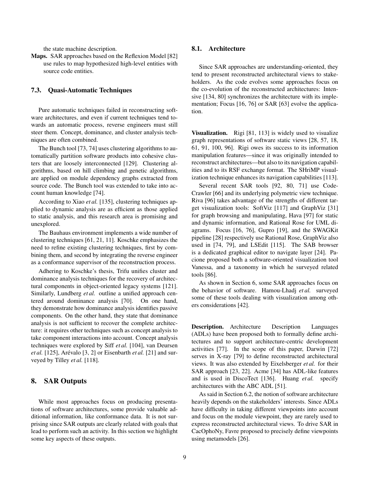the state machine description.

Maps. SAR approaches based on the Reflexion Model [\[82\]](#page-12-4) use rules to map hypothesized high-level entities with source code entities.

#### 7.3. Quasi-Automatic Techniques

Pure automatic techniques failed in reconstructing software architectures, and even if current techniques tend towards an automatic process, reverse engineers must still steer them. Concept, dominance, and cluster analysis techniques are often combined.

The Bunch tool [\[73,](#page-12-37) [74\]](#page-12-38) uses clustering algorithms to automatically partition software products into cohesive clusters that are loosely interconnected [\[129\]](#page-13-24). Clustering algorithms, based on hill climbing and genetic algorithms, are applied on module dependency graphs extracted from source code. The Bunch tool was extended to take into account human knowledge [\[74\]](#page-12-38).

According to Xiao *et al.* [\[135\]](#page-13-25), clustering techniques applied to dynamic analysis are as efficient as those applied to static analysis, and this research area is promising and unexplored.

The Bauhaus environment implements a wide number of clustering techniques [\[61,](#page-11-43) [21,](#page-11-21) [11\]](#page-10-10). Koschke emphasizes the need to refine existing clustering techniques, first by combining them, and second by integrating the reverse engineer as a conformance supervisor of the reconstruction process.

Adhering to Koschke's thesis, Trifu unifies cluster and dominance analysis techniques for the recovery of architectural components in object-oriented legacy systems [\[121\]](#page-13-26). Similarly, Lundberg et al. outline a unified approach centered around dominance analysis [\[70\]](#page-12-39). On one hand, they demonstrate how dominance analysis identifies passive components. On the other hand, they state that dominance analysis is not sufficient to recover the complete architecture: it requires other techniques such as concept analysis to take component interactions into account. Concept analysis techniques were explored by Siff *et al.* [\[104\]](#page-12-40), van Deursen *et al.* [\[125\]](#page-13-27), Arévalo [\[3,](#page-10-5) [2\]](#page-10-15) or Eisenbarth *et al.* [\[21\]](#page-11-21) and surveyed by Tilley *et al.* [\[118\]](#page-13-28).

## <span id="page-9-0"></span>8. SAR Outputs

While most approaches focus on producing presentations of software architectures, some provide valuable additional information, like conformance data. It is not surprising since SAR outputs are clearly related with goals that lead to perform such an activity. In this section we highlight some key aspects of these outputs.

#### 8.1. Architecture

Since SAR approaches are understanding-oriented, they tend to present reconstructed architectural views to stakeholders. As the code evolves some approaches focus on the co-evolution of the reconstructed architectures: Inten-sive [\[134,](#page-13-6) [80\]](#page-12-11) synchronizes the architecture with its implementation; Focus [\[16,](#page-10-1) [76\]](#page-12-9) or SAR [\[63\]](#page-12-15) evolve the application.

Visualization. Rigi [\[81,](#page-12-21) [113\]](#page-13-14) is widely used to visualize graph representations of software static views [\[28,](#page-11-11) [57,](#page-11-7) [18,](#page-11-12) [61,](#page-11-43) [91,](#page-12-23) [100,](#page-12-27) [96\]](#page-12-3). Rigi owes its success to its information manipulation features—since it was originally intended to reconstruct architectures—but also to its navigation capabilities and to its RSF exchange format. The SHriMP visualization technique enhances its navigation capabilities [\[113\]](#page-13-14).

Several recent SAR tools [\[92,](#page-12-13) [80,](#page-12-11) [71\]](#page-12-25) use Code-Crawler [\[66\]](#page-12-35) and its underlying polymetric view technique. Riva [\[96\]](#page-12-3) takes advantage of the strengths of different target visualization tools: SoftViz [\[117\]](#page-13-29) and GraphViz [\[31\]](#page-11-44) for graph browsing and manipulating, Hava [\[97\]](#page-12-32) for static and dynamic information, and Rational Rose for UML diagrams. Focus [\[16,](#page-10-1) [76\]](#page-12-9), Gupro [\[19\]](#page-11-16), and the SWAGKit pipeline [\[28\]](#page-11-11) respectively use Rational Rose, GraphViz also used in [\[74,](#page-12-38) [79\]](#page-12-26), and LSEdit [\[115\]](#page-13-30). The SAB browser is a dedicated graphical editor to navigate layer [\[24\]](#page-11-36). Pacione proposed both a software-oriented visualization tool Vanessa, and a taxonomy in which he surveyed related tools [\[86\]](#page-12-41).

As shown in Section [6,](#page-6-0) some SAR approaches focus on the behavior of software. Hamou-Lhadj *et al.* surveyed some of these tools dealing with visualization among others considerations [\[42\]](#page-11-30).

Description. Architecture Description Languages (ADLs) have been proposed both to formally define architectures and to support architecture-centric development activities [\[77\]](#page-12-42). In the scope of this paper, Darwin [\[72\]](#page-12-43) serves in X-ray [\[79\]](#page-12-26) to define reconstructed architectural views. It was also extended by Eixelsberger *et al.* for their SAR approach [\[23,](#page-11-13) [22\]](#page-11-25). Acme [\[34\]](#page-11-45) has ADL-like features and is used in DiscoTect [\[136\]](#page-13-5). Huang *et al.* specify architectures with the ABC ADL [\[51\]](#page-11-15).

As said in Section [6.2,](#page-7-0) the notion of software architecture heavily depends on the stakeholders' interests. Since ADLs have difficulty in taking different viewpoints into account and focus on the module viewpoint, they are rarely used to express reconstructed architectural views. To drive SAR in CacOphoNy, Favre proposed to precisely define viewpoints using metamodels [\[26\]](#page-11-35).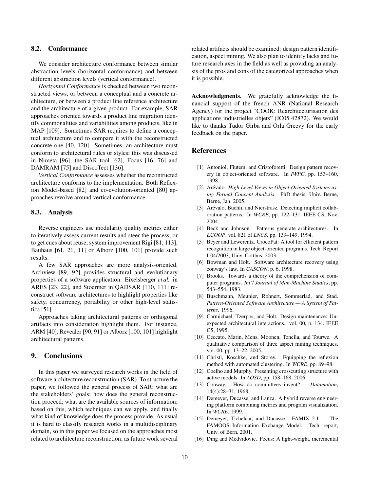## 8.2. Conformance

We consider architecture conformance between similar abstraction levels (horizontal conformance) and between different abstraction levels (vertical conformance).

*Horizontal Conformance* is checked between two reconstructed views, or between a conceptual and a concrete architecture, or between a product line reference architecture and the architecture of a given product. For example, SAR approaches oriented towards a product line migration identify commonalities and variabilities among products, like in MAP [\[109\]](#page-13-0). Sometimes SAR requires to define a conceptual architecture and to compare it with the reconstructed concrete one [\[40,](#page-11-24) [120\]](#page-13-1). Sometimes, an architecture must conform to architectural rules or styles; this was discussed in Nimeta [\[96\]](#page-12-3), the SAR tool [\[62\]](#page-11-3), Focus [\[16,](#page-10-1) [76\]](#page-12-9) and DAMRAM [\[75\]](#page-12-1) and DiscoTect [\[136\]](#page-13-5).

*Vertical Conformance* assesses whether the recontructed architecture conforms to the implementation. Both Reflexion Model-based [\[82\]](#page-12-4) and co-evolution-oriented [\[80\]](#page-12-11) approaches revolve around vertical conformance.

#### 8.3. Analysis

Reverse engineers use modularity quality metrics either to iteratively assess current results and steer the process, or to get cues about reuse, system improvement Rigi [\[81,](#page-12-21) [113\]](#page-13-14), Bauhaus [\[61,](#page-11-43) [21,](#page-11-21) [11\]](#page-10-10) or Alborz [\[100,](#page-12-27) [101\]](#page-12-28) provide such results.

A few SAR approaches are more analysis-oriented. Archview [\[89,](#page-12-12) [92\]](#page-12-13) provides structural and evolutionary properties of a software application. Eixelsberger *et al.* in ARES [\[23,](#page-11-13) [22\]](#page-11-25), and Stoermer in QADSAR [\[110,](#page-13-7) [111\]](#page-13-8) reconstruct software architectures to highlight properties like safety, concurrency, portability or other high-level statistics [\[51\]](#page-11-15).

Approaches taking architectural patterns or orthogonal artifacts into consideration highlight them. For instance, ARM [\[40\]](#page-11-24), Revealer [\[90,](#page-12-22) [91\]](#page-12-23) or Alborz [\[100,](#page-12-27) [101\]](#page-12-28) highlight architectural patterns.

## 9. Conclusions

In this paper we surveyed research works in the field of software architecture reconstruction (SAR). To structure the paper, we followed the general process of SAR: what are the stakeholders' goals; how does the general reconstruction proceed; what are the available sources of information; based on this, which techniques can we apply, and finally what kind of knowledge does the process provide. As usual it is hard to classify research works in a multidisciplinary domain, so in this paper we focused on the approaches most related to architecture reconstruction; as future work several

related artifacts should be examined: design pattern identification, aspect mining. We also plan to identify lacks and future research axes in the field as well as providing an analysis of the pros and cons of the categorized approaches when it is possible.

Acknowledgments. We gratefully acknowledge the financial support of the french ANR (National Research Agency) for the project "COOK: Réarchitecturisation des applications industrielles objets" (JC05 42872). We would like to thanks Tudor Girba and Orla Greevy for the early feedback on the paper.

#### References

- <span id="page-10-4"></span>[1] Antoniol, Fiutem, and Cristoforetti. Design pattern recovery in object-oriented software. In *IWPC*, pp. 153–160, 1998.
- <span id="page-10-15"></span>[2] Arévalo. High Level Views in Object-Oriented Systems us*ing Formal Concept Analysis*. PhD thesis, Univ. Berne, Berne, Jan. 2005.
- <span id="page-10-5"></span>[3] Arévalo, Buchli, and Nierstrasz. Detecting implicit collaboration patterns. In *WCRE*, pp. 122–131. IEEE CS, Nov. 2004.
- <span id="page-10-2"></span>[4] Beck and Johnson. Patterns generate architectures. In *ECOOP*, vol. 821 of *LNCS*, pp. 139–149, 1994.
- <span id="page-10-6"></span>[5] Beyer and Lewerentz. CrocoPat: A tool for efficient pattern recognition in large object-oriented programs. Tech. Report I-04/2003, Univ. Cottbus, 2003.
- <span id="page-10-13"></span>[6] Bowman and Holt. Software architecture recovery using conway's law. In *CASCON*, p. 6, 1998.
- <span id="page-10-9"></span>[7] Brooks. Towards a theory of the comprehension of computer programs. *Int'l Journal of Man-Machine Studies*, pp. 543–554, 1983.
- <span id="page-10-3"></span>[8] Buschmann, Meunier, Rohnert, Sommerlad, and Stad. *Pattern-Oriented Software Architecture — A System of Patterns*. 1996.
- <span id="page-10-14"></span>[9] Carmichael, Tzerpos, and Holt. Design maintenance: Unexpected architectural interactions. vol. 00, p. 134. IEEE CS, 1995.
- <span id="page-10-8"></span>[10] Ceccato, Marin, Mens, Moonen, Tonella, and Tourwe. A qualitative comparison of three aspect mining techniques. vol. 00, pp. 13–22, 2005.
- <span id="page-10-10"></span>[11] Christl, Koschke, and Storey. Equipping the reflexion method with automated clustering. In *WCRE*, pp. 89–98.
- <span id="page-10-7"></span>[12] Coelho and Murphy. Presenting crosscutting structure with active models. In *AOSD*, pp. 158–168, 2006.
- <span id="page-10-12"></span>[13] Conway. How do committees invent? *Datamation*, 14(4):28–31, 1968.
- <span id="page-10-0"></span>[14] Demeyer, Ducasse, and Lanza. A hybrid reverse engineering platform combining metrics and program visualization. In *WCRE*, 1999.
- <span id="page-10-11"></span>[15] Demeyer, Tichelaar, and Ducasse. FAMIX 2.1 — The FAMOOS Information Exchange Model. Tech. report, Univ. of Bern, 2001.
- <span id="page-10-1"></span>[16] Ding and Medvidovic. Focus: A light-weight, incremental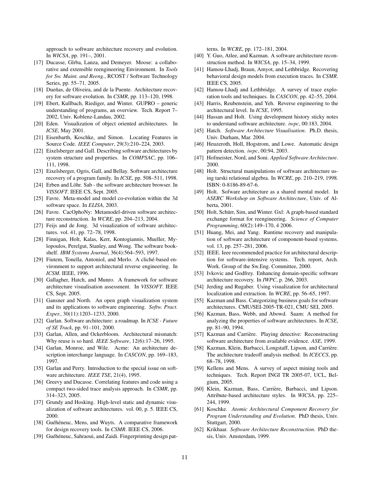approach to software architecture recovery and evolution. In *WICSA*, pp. 191–, 2001.

- <span id="page-11-42"></span>[17] Ducasse, Gîrba, Lanza, and Demeyer. Moose: a collaborative and extensible reengineering Environment. In *Tools for Sw. Maint. and Reeng.*, RCOST / Software Technology Series, pp. 55–71. 2005.
- <span id="page-11-12"></span>[18] Dueñas, de Oliveira, and de la Puente. Architecture recovery for software evolution. In *CSMR*, pp. 113–120, 1998.
- <span id="page-11-16"></span>[19] Ebert, Kullbach, Riediger, and Winter. GUPRO – generic understanding of programs, an overview. Tech. Report 7– 2002, Univ. Koblenz-Landau, 2002.
- <span id="page-11-39"></span>[20] Eden. Visualization of object oriented architectures. In *ICSE*, May 2001.
- <span id="page-11-21"></span>[21] Eisenbarth, Koschke, and Simon. Locating Features in Source Code. *IEEE Computer*, 29(3):210–224, 2003.
- <span id="page-11-25"></span>[22] Eixelsberger and Gall. Describing software architectures by system structure and properties. In *COMPSAC*, pp. 106– 111, 1998.
- <span id="page-11-13"></span>[23] Eixelsberger, Ogris, Gall, and Bellay. Software architecture recovery of a program family. In *ICSE*, pp. 508–511, 1998.
- <span id="page-11-36"></span>[24] Erben and Löhr. Sab - the software architecture browser. In *VISSOFT*. IEEE CS, Sept. 2005.
- <span id="page-11-14"></span>[25] Favre. Meta-model and model co-evolution within the 3d software space. In *ELISA*, 2003.
- <span id="page-11-35"></span>[26] Favre. CacOphoNy: Metamodel-driven software architecture reconstruction. In *WCRE*, pp. 204–213, 2004.
- <span id="page-11-37"></span>[27] Feijs and de Jong. 3d visualization of software architectures. vol. 41, pp. 72–78, 1998.
- <span id="page-11-11"></span>[28] Finnigan, Holt, Kalas, Kerr, Kontogiannis, Mueller, Mylopoulos, Perelgut, Stanley, and Wong. The software bookshelf. *IBM Systems Journal*, 36(4):564–593, 1997.
- <span id="page-11-26"></span>[29] Fiutem, Tonella, Antoniol, and Merlo. A cliché-based environment to support architectural reverse engineering. In *ICSM*. IEEE, 1996.
- <span id="page-11-8"></span>[30] Gallagher, Hatch, and Munro. A framework for software architecture visualisation assessment. In *VISSOFT*. IEEE CS, Sept. 2005.
- <span id="page-11-44"></span>[31] Gansner and North. An open graph visualization system and its applications to software engineering. *Softw. Pract. Exper.*, 30(11):1203–1233, 2000.
- <span id="page-11-1"></span>[32] Garlan. Software architecture: a roadmap. In *ICSE - Future of SE Track*, pp. 91–101, 2000.
- <span id="page-11-2"></span>[33] Garlan, Allen, and Ockerbloom. Architectural mismatch: Why reuse is so hard. *IEEE Software*, 12(6):17–26, 1995.
- <span id="page-11-45"></span>[34] Garlan, Monroe, and Wile. Acme: An architecture description interchange language. In *CASCON*, pp. 169–183, 1997.
- <span id="page-11-6"></span>[35] Garlan and Perry. Introduction to the special issue on software architecture. *IEEE TSE*, 21(4), 1995.
- <span id="page-11-22"></span>[36] Greevy and Ducasse. Correlating features and code using a compact two-sided trace analysis approach. In *CSMR*, pp. 314–323, 2005.
- <span id="page-11-38"></span>[37] Grundy and Hosking. High-level static and dynamic visualization of software architectures. vol. 00, p. 5. IEEE CS, 2000.
- <span id="page-11-9"></span>[38] Guéhéneuc, Mens, and Wuyts. A comparative framework for design recovery tools. In *CSMR*. IEEE CS, 2006.
- <span id="page-11-20"></span>[39] Guéhéneuc, Sahraoui, and Zaidi. Fingerprinting design pat-

terns. In *WCRE*, pp. 172–181, 2004.

- <span id="page-11-24"></span>[40] Y. Guo, Atlee, and Kazman. A software architecture reconstruction method. In *WICSA*, pp. 15–34, 1999.
- <span id="page-11-28"></span>[41] Hamou-Lhadj, Braun, Amyot, and Lethbridge. Recovering behavioral design models from execution traces. In *CSMR*. IEEE CS, 2005.
- <span id="page-11-30"></span>[42] Hamou-Lhadj and Lethbridge. A survey of trace exploration tools and techniques. In *CASCON*, pp. 42–55, 2004.
- <span id="page-11-4"></span>[43] Harris, Reubenstein, and Yeh. Reverse engineering to the architectural level. In *ICSE*, 1995.
- <span id="page-11-31"></span>[44] Hassan and Holt. Using development history sticky notes to understand software architecture. *iwpc*, 00:183, 2004.
- <span id="page-11-40"></span>[45] Hatch. *Software Architecture Visualisation*. Ph.D. thesis, Univ. Durham, Mar. 2004.
- <span id="page-11-19"></span>[46] Heuzeroth, Holl, Hogstrom, and Lowe. Automatic design pattern detection. *iwpc*, 00:94, 2003.
- <span id="page-11-34"></span>[47] Hofmeister, Nord, and Soni. *Applied Software Architecture*. 2000.
- <span id="page-11-41"></span>[48] Holt. Structural manipulations of software architecture using tarski relational algebra. In *WCRE*, pp. 210–219, 1998. ISBN: 0-8186-89-67-6.
- <span id="page-11-0"></span>[49] Holt. Sofware architecture as a shared mental model. In *ASERC Workshop on Software Architecture*, Univ. of Alberta, 2001.
- <span id="page-11-27"></span>[50] Holt, Schürr, Sim, and Winter. Gxl: A graph-based standard exchange format for reengineering. *Science of Computer Programming*, 60(2):149–170, 4 2006.
- <span id="page-11-15"></span>[51] Huang, Mei, and Yang. Runtime recovery and manipulation of software architecture of component-based systems. vol. 13, pp. 257–281, 2006.
- <span id="page-11-5"></span>[52] IEEE. Ieee recommended practice for architectural description for software-intensive systems. Tech. report, Arch. Work. Group of the Sw.Eng. Committee, 2000.
- <span id="page-11-32"></span>[53] Ivkovic and Godfrey. Enhancing domain-specific software architecture recovery. In *IWPC*, p. 266, 2003.
- <span id="page-11-29"></span>[54] Jerding and Rugaber. Using visualization for architectural localization and extraction. In *WCRE*, pp. 56–65, 1997.
- <span id="page-11-10"></span>[55] Kazman and Bass. Categorizing business goals for software architectures. CMU/SEI-2005-TR-021, CMU SEI, 2005.
- <span id="page-11-17"></span>[56] Kazman, Bass, Webb, and Abowd. Saam: A method for analyzing the properties of software architectures. In *ICSE*, pp. 81–90, 1994.
- <span id="page-11-7"></span>[57] Kazman and Carrière. Playing detective: Reconstructing software architecture from available evidence. *ASE*, 1999.
- <span id="page-11-18"></span>[58] Kazman, Klein, Barbacci, Longstaff, Lipson, and Carrière. The architecture tradeoff analysis method. In *ICECCS*, pp. 68–78, 1998.
- <span id="page-11-23"></span>[59] Kellens and Mens. A survey of aspect mining tools and techniques. Tech. Report INGI TR 2005-07, UCL, Belgium, 2005.
- <span id="page-11-33"></span>[60] Klein, Kazman, Bass, Carrière, Barbacci, and Lipson. Attribute-based architecture styles. In *WICSA*, pp. 225– 244, 1999.
- <span id="page-11-43"></span>[61] Koschke. *Atomic Architectural Component Recovery for Program Understanding and Evolution*. PhD thesis, Univ. Stuttgart, 2000.
- <span id="page-11-3"></span>[62] Krikhaar. *Software Architecture Reconstruction*. PhD thesis, Univ. Amsterdam, 1999.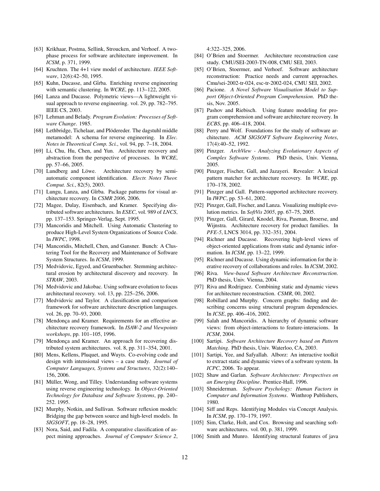- <span id="page-12-15"></span>[63] Krikhaar, Postma, Sellink, Stroucken, and Verhoef. A twophase process for software architecture improvement. In *ICSM*, p. 371, 1999.
- <span id="page-12-8"></span>[64] Kruchten. The 4+1 view model of architecture. *IEEE Software*, 12(6):42–50, 1995.
- <span id="page-12-30"></span>[65] Kuhn, Ducasse, and Gîrba. Enriching reverse engineering with semantic clustering. In *WCRE*, pp. 113–122, 2005.
- <span id="page-12-35"></span>[66] Lanza and Ducasse. Polymetric views—A lightweight visual approach to reverse engineering. vol. 29, pp. 782–795. IEEE CS, 2003.
- <span id="page-12-0"></span>[67] Lehman and Belady. *Program Evolution: Processes of Software Change*. 1985.
- <span id="page-12-29"></span>[68] Lethbridge, Tichelaar, and Plödereder. The dagstuhl middle metamodel: A schema for reverse engineering. In *Elec. Notes in Theoretical Comp. Sci.*, vol. 94, pp. 7–18, 2004.
- <span id="page-12-33"></span>[69] Li, Chu, Hu, Chen, and Yun. Architecture recovery and abstraction from the perspective of processes. In *WCRE*, pp. 57–66, 2005.
- <span id="page-12-39"></span>[70] Lundberg and Löwe. Architecture recovery by semiautomatic component identification. *Electr. Notes Theor. Comput. Sci.*, 82(5), 2003.
- <span id="page-12-25"></span>[71] Lungu, Lanza, and Gîrba. Package patterns for visual architecture recovery. In *CSMR 2006*, 2006.
- <span id="page-12-43"></span>[72] Magee, Dulay, Eisenbach, and Kramer. Specifying distributed software architectures. In *ESEC*, vol. 989 of *LNCS*, pp. 137–153. Springer-Verlag, Sept. 1995.
- <span id="page-12-37"></span>[73] Mancoridis and Mitchell. Using Automatic Clustering to produce High-Level System Organizations of Source Code. In *IWPC*, 1998.
- <span id="page-12-38"></span>[74] Mancoridis, Mitchell, Chen, and Gansner. Bunch: A Clustering Tool for the Recovery and Maintenance of Software System Structures. In *ICSM*, 1999.
- <span id="page-12-1"></span>[75] Medvidovic, Egyed, and Gruenbacher. Stemming architectural erosion by architectural discovery and recovery. In *STRAW*, 2003.
- <span id="page-12-9"></span>[76] Medvidovic and Jakobac. Using software evolution to focus architectural recovery. vol. 13, pp. 225–256, 2006.
- <span id="page-12-42"></span>[77] Medvidovic and Taylor. A classification and comparison framework for software architecture description languages. vol. 26, pp. 70–93, 2000.
- <span id="page-12-5"></span>[78] Mendonça and Kramer. Requirements for an effective architecture recovery framework. In *ISAW-2 and Viewpoints workshops*, pp. 101–105, 1996.
- <span id="page-12-26"></span>[79] Mendonça and Kramer. An approach for recovering distributed system architectures. vol. 8, pp. 311–354, 2001.
- <span id="page-12-11"></span>[80] Mens, Kellens, Pluquet, and Wuyts. Co-evolving code and design with intensional views – a case study. *Journal of Computer Languages, Systems and Structures*, 32(2):140– 156, 2006.
- <span id="page-12-21"></span>[81] Müller, Wong, and Tilley. Understanding software systems using reverse engineering technology. In *Object-Oriented Technology for Database and Software Systems*, pp. 240– 252. 1995.
- <span id="page-12-4"></span>[82] Murphy, Notkin, and Sullivan. Software reflexion models: Bridging the gap between source and high-level models. In *SIGSOFT*, pp. 18–28, 1995.
- <span id="page-12-19"></span>[83] Nora, Said, and Fadila. A comparative classification of aspect mining approaches. *Journal of Computer Science 2*,

4:322–325, 2006.

- <span id="page-12-14"></span>[84] O'Brien and Stoermer. Architecture reconstruction case study. CMU/SEI-2003-TN-008, CMU SEI, 2003.
- <span id="page-12-6"></span>[85] O'Brien, Stoermer, and Verhoef. Software architecture reconstruction: Practice needs and current approaches. Cmu/sei-2002-tr-024, esc-tr-2002-024, CMU SEI, 2002.
- <span id="page-12-41"></span>[86] Pacione. A Novel Software Visualisation Model to Sup*port Object-Oriented Program Comprehension*. PhD thesis, Nov. 2005.
- <span id="page-12-17"></span>[87] Pashov and Riebisch. Using feature modeling for program comprehension and software architecture recovery. In *ECBS*, pp. 406–418, 2004.
- <span id="page-12-2"></span>[88] Perry and Wolf. Foundations for the study of software architecture. *ACM SIGSOFT Software Engineering Notes*, 17(4):40–52, 1992.
- <span id="page-12-12"></span>[89] Pinzger. *ArchView - Analyzing Evolutionary Aspects of Complex Software Systems*. PhD thesis, Univ. Vienna, 2005.
- <span id="page-12-22"></span>[90] Pinzger, Fischer, Gall, and Jazayeri. Revealer: A lexical pattern matcher for architecture recovery. In *WCRE*, pp. 170–178, 2002.
- <span id="page-12-23"></span>[91] Pinzger and Gall. Pattern-supported architecture recovery. In *IWPC*, pp. 53–61, 2002.
- <span id="page-12-13"></span>[92] Pinzger, Gall, Fischer, and Lanza. Visualizing multiple evolution metrics. In *SoftVis 2005*, pp. 67–75, 2005.
- <span id="page-12-10"></span>[93] Pinzger, Gall, Girard, Knodel, Riva, Pasman, Broerse, and Wijnstra. Architecture recovery for product families. In *PFE-5*, LNCS 3014, pp. 332–351, 2004.
- <span id="page-12-31"></span>[94] Richner and Ducasse. Recovering high-level views of object-oriented applications from static and dynamic information. In *ICSM*, pp. 13–22, 1999.
- <span id="page-12-20"></span>[95] Richner and Ducasse. Using dynamic information for the iterative recovery of collaborations and roles. In *ICSM*, 2002.
- <span id="page-12-3"></span>[96] Riva. *View-based Software Architecture Reconstruction*. PhD thesis, Univ. Vienna, 2004.
- <span id="page-12-32"></span>[97] Riva and Rodriguez. Combining static and dynamic views for architecture reconstruction. *CSMR*, 00, 2002.
- <span id="page-12-16"></span>[98] Robillard and Murphy. Concern graphs: finding and describing concerns using structural program dependencies. In *ICSE*, pp. 406–416, 2002.
- <span id="page-12-34"></span>[99] Salah and Mancoridis. A hierarchy of dynamic software views: from object-interactions to feature-interacions. In *ICSM*, 2004.
- <span id="page-12-27"></span>[100] Sartipi. *Software Architecture Recovery based on Pattern Matching*. PhD thesis, Univ. Waterloo, CA, 2003.
- <span id="page-12-28"></span>[101] Sartipi, Yee, and Safyallah. Alborz: An interactive toolkit to extract static and dynamic views of a software system. In *ICPC*, 2006. To appear.
- <span id="page-12-7"></span>[102] Shaw and Garlan. *Software Architecture: Perspectives on an Emerging Discipline*. Prentice-Hall, 1996.
- <span id="page-12-24"></span>[103] Shneiderman. *Software Psychology: Human Factors in Computer and Information Systems*. Winthrop Publishers, 1980.
- <span id="page-12-40"></span>[104] Siff and Reps. Identifying Modules via Concept Analysis. In *ICSM*, pp. 170–179, 1997.
- <span id="page-12-36"></span>[105] Sim, Clarke, Holt, and Cox. Browsing and searching software architectures. vol. 00, p. 381, 1999.
- <span id="page-12-18"></span>[106] Smith and Munro. Identifying structural features of java